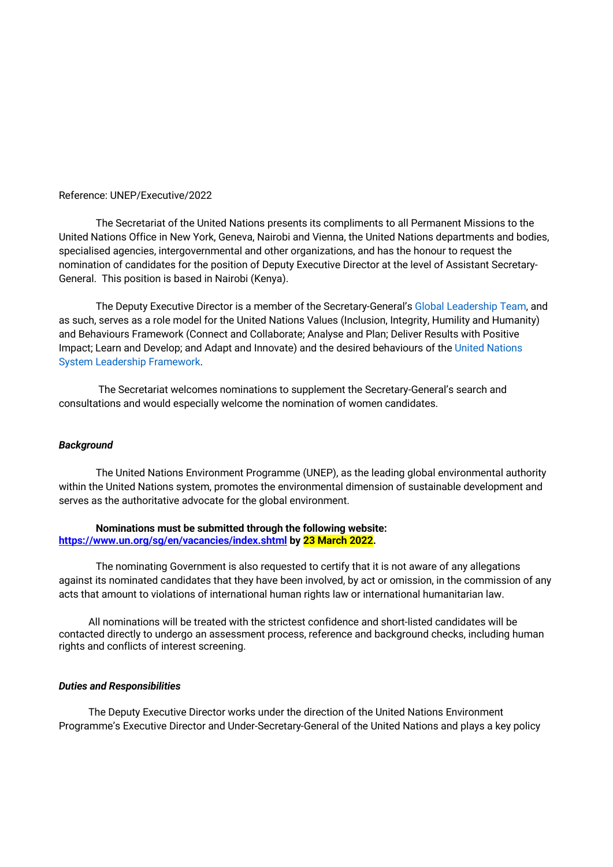#### Reference: UNEP/Executive/2022

The Secretariat of the United Nations presents its compliments to all Permanent Missions to the United Nations Office in New York, Geneva, Nairobi and Vienna, the United Nations departments and bodies, specialised agencies, intergovernmental and other organizations, and has the honour to request the nomination of candidates for the position of Deputy Executive Director at the level of Assistant Secretary-General. This position is based in Nairobi (Kenya).

The Deputy Executive Director is a member of the Secretary-General's Global Leadership Team, and as such, serves as a role model for the United Nations Values (Inclusion, Integrity, Humility and Humanity) and Behaviours Framework (Connect and Collaborate; Analyse and Plan; Deliver Results with Positive Impact; Learn and Develop; and Adapt and Innovate) and the desired behaviours of the United Nations System Leadership Framework.

The Secretariat welcomes nominations to supplement the Secretary-General's search and consultations and would especially welcome the nomination of women candidates.

## *Background*

The United Nations Environment Programme (UNEP), as the leading global environmental authority within the United Nations system, promotes the environmental dimension of sustainable development and serves as the authoritative advocate for the global environment.

**Nominations must be submitted through the following website: https://www.un.org/sg/en/vacancies/index.shtml by 23 March 2022.**

The nominating Government is also requested to certify that it is not aware of any allegations against its nominated candidates that they have been involved, by act or omission, in the commission of any acts that amount to violations of international human rights law or international humanitarian law.

All nominations will be treated with the strictest confidence and short-listed candidates will be contacted directly to undergo an assessment process, reference and background checks, including human rights and conflicts of interest screening.

#### *Duties and Responsibilities*

The Deputy Executive Director works under the direction of the United Nations Environment Programme's Executive Director and Under-Secretary-General of the United Nations and plays a key policy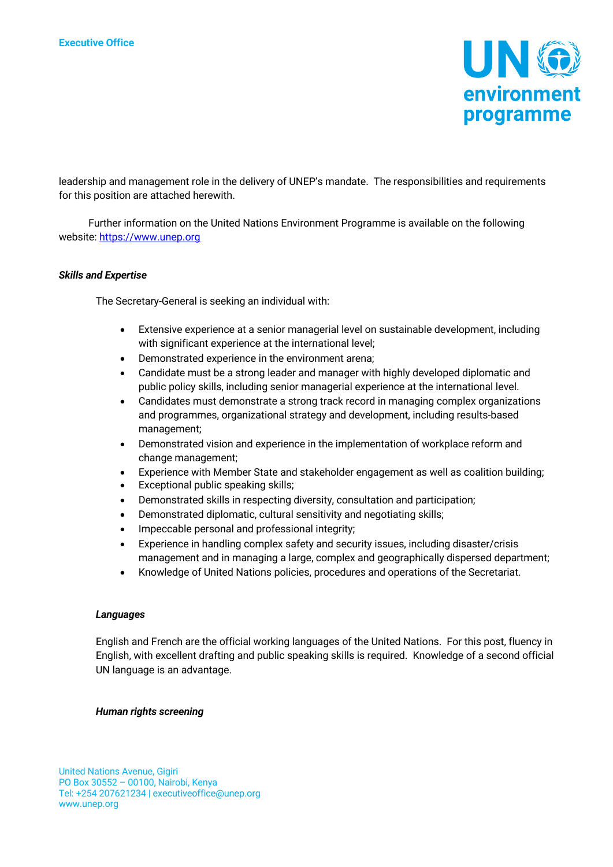

leadership and management role in the delivery of UNEP's mandate. The responsibilities and requirements for this position are attached herewith.

Further information on the United Nations Environment Programme is available on the following website: https://www.unep.org

### *Skills and Expertise*

The Secretary-General is seeking an individual with:

- Extensive experience at a senior managerial level on sustainable development, including with significant experience at the international level;
- Demonstrated experience in the environment arena;
- Candidate must be a strong leader and manager with highly developed diplomatic and public policy skills, including senior managerial experience at the international level.
- Candidates must demonstrate a strong track record in managing complex organizations and programmes, organizational strategy and development, including results-based management;
- Demonstrated vision and experience in the implementation of workplace reform and change management;
- Experience with Member State and stakeholder engagement as well as coalition building;
- Exceptional public speaking skills;
- Demonstrated skills in respecting diversity, consultation and participation;
- Demonstrated diplomatic, cultural sensitivity and negotiating skills;
- Impeccable personal and professional integrity;
- Experience in handling complex safety and security issues, including disaster/crisis management and in managing a large, complex and geographically dispersed department;
- Knowledge of United Nations policies, procedures and operations of the Secretariat.

### *Languages*

English and French are the official working languages of the United Nations. For this post, fluency in English, with excellent drafting and public speaking skills is required. Knowledge of a second official UN language is an advantage.

### *Human rights screening*

United Nations Avenue, Gigiri PO Box 30552 – 00100, Nairobi, Kenya Tel: +254 207621234 | executiveoffice@unep.org www.unep.org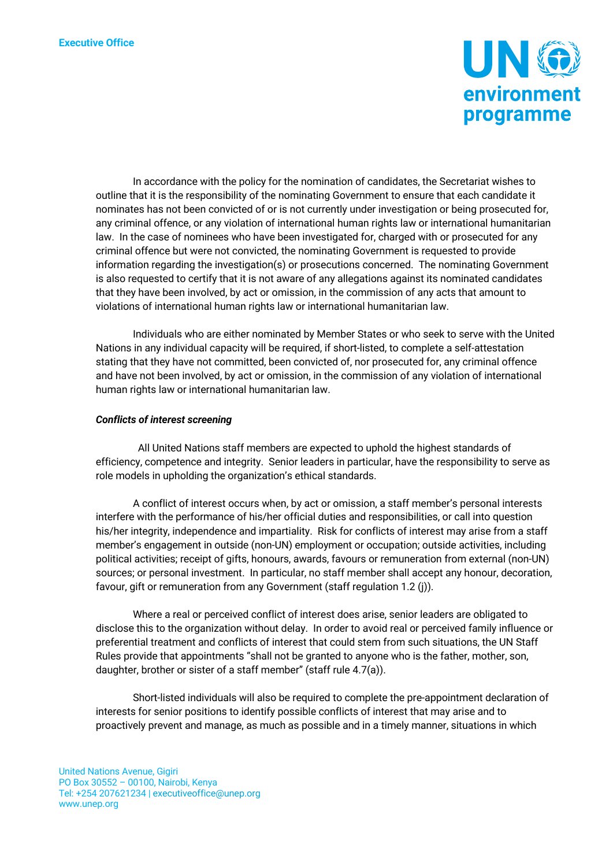

In accordance with the policy for the nomination of candidates, the Secretariat wishes to outline that it is the responsibility of the nominating Government to ensure that each candidate it nominates has not been convicted of or is not currently under investigation or being prosecuted for, any criminal offence, or any violation of international human rights law or international humanitarian law. In the case of nominees who have been investigated for, charged with or prosecuted for any criminal offence but were not convicted, the nominating Government is requested to provide information regarding the investigation(s) or prosecutions concerned. The nominating Government is also requested to certify that it is not aware of any allegations against its nominated candidates that they have been involved, by act or omission, in the commission of any acts that amount to violations of international human rights law or international humanitarian law.

Individuals who are either nominated by Member States or who seek to serve with the United Nations in any individual capacity will be required, if short-listed, to complete a self-attestation stating that they have not committed, been convicted of, nor prosecuted for, any criminal offence and have not been involved, by act or omission, in the commission of any violation of international human rights law or international humanitarian law.

### *Conflicts of interest screening*

 All United Nations staff members are expected to uphold the highest standards of efficiency, competence and integrity. Senior leaders in particular, have the responsibility to serve as role models in upholding the organization's ethical standards.

A conflict of interest occurs when, by act or omission, a staff member's personal interests interfere with the performance of his/her official duties and responsibilities, or call into question his/her integrity, independence and impartiality. Risk for conflicts of interest may arise from a staff member's engagement in outside (non-UN) employment or occupation; outside activities, including political activities; receipt of gifts, honours, awards, favours or remuneration from external (non-UN) sources; or personal investment. In particular, no staff member shall accept any honour, decoration, favour, gift or remuneration from any Government (staff regulation 1.2 (j)).

Where a real or perceived conflict of interest does arise, senior leaders are obligated to disclose this to the organization without delay. In order to avoid real or perceived family influence or preferential treatment and conflicts of interest that could stem from such situations, the UN Staff Rules provide that appointments "shall not be granted to anyone who is the father, mother, son, daughter, brother or sister of a staff member" (staff rule 4.7(a)).

Short-listed individuals will also be required to complete the pre-appointment declaration of interests for senior positions to identify possible conflicts of interest that may arise and to proactively prevent and manage, as much as possible and in a timely manner, situations in which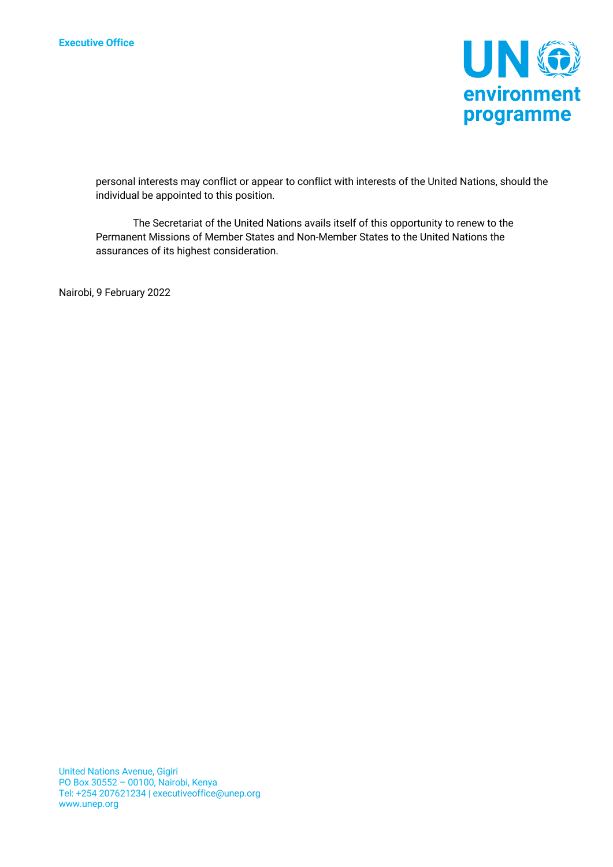

personal interests may conflict or appear to conflict with interests of the United Nations, should the individual be appointed to this position.

The Secretariat of the United Nations avails itself of this opportunity to renew to the Permanent Missions of Member States and Non-Member States to the United Nations the assurances of its highest consideration.

Nairobi, 9 February 2022

United Nations Avenue, Gigiri PO Box 30552 – 00100, Nairobi, Kenya Tel: +254 207621234 | executiveoffice@unep.org www.unep.org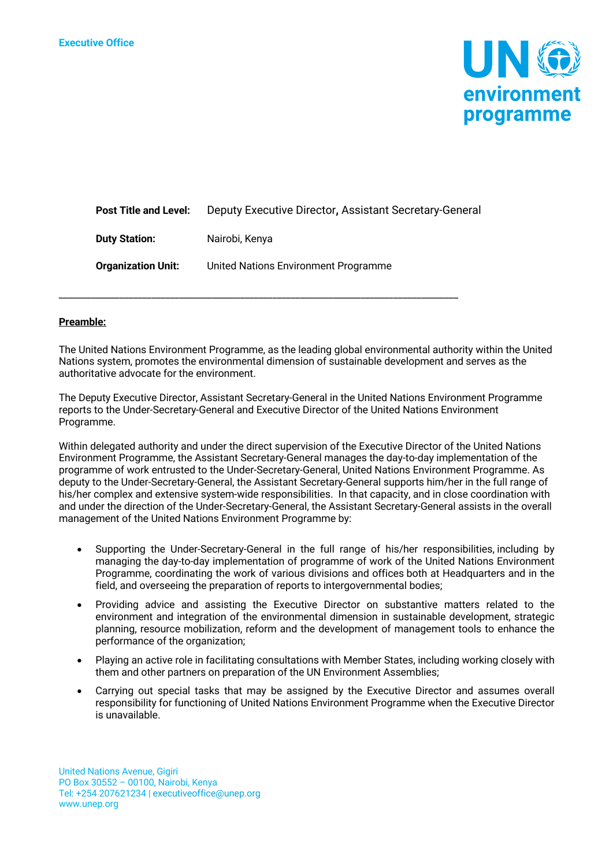

| <b>Post Title and Level:</b> | Deputy Executive Director, Assistant Secretary-General |
|------------------------------|--------------------------------------------------------|
| <b>Duty Station:</b>         | Nairobi, Kenya                                         |
| <b>Organization Unit:</b>    | United Nations Environment Programme                   |

\_\_\_\_\_\_\_\_\_\_\_\_\_\_\_\_\_\_\_\_\_\_\_\_\_\_\_\_\_\_\_\_\_\_\_\_\_\_\_\_\_\_\_\_\_\_\_\_\_\_\_\_\_\_\_\_\_\_\_\_\_\_\_\_\_\_\_\_\_\_\_\_\_\_\_\_\_\_\_\_\_\_\_\_\_\_

# **Preamble:**

The United Nations Environment Programme, as the leading global environmental authority within the United Nations system, promotes the environmental dimension of sustainable development and serves as the authoritative advocate for the environment.

The Deputy Executive Director, Assistant Secretary-General in the United Nations Environment Programme reports to the Under-Secretary-General and Executive Director of the United Nations Environment Programme.

Within delegated authority and under the direct supervision of the Executive Director of the United Nations Environment Programme, the Assistant Secretary-General manages the day-to-day implementation of the programme of work entrusted to the Under-Secretary-General, United Nations Environment Programme. As deputy to the Under-Secretary-General, the Assistant Secretary-General supports him/her in the full range of his/her complex and extensive system-wide responsibilities. In that capacity, and in close coordination with and under the direction of the Under-Secretary-General, the Assistant Secretary-General assists in the overall management of the United Nations Environment Programme by:

- Supporting the Under-Secretary-General in the full range of his/her responsibilities, including by managing the day-to-day implementation of programme of work of the United Nations Environment Programme, coordinating the work of various divisions and offices both at Headquarters and in the field, and overseeing the preparation of reports to intergovernmental bodies;
- Providing advice and assisting the Executive Director on substantive matters related to the environment and integration of the environmental dimension in sustainable development, strategic planning, resource mobilization, reform and the development of management tools to enhance the performance of the organization;
- Playing an active role in facilitating consultations with Member States, including working closely with them and other partners on preparation of the UN Environment Assemblies;
- Carrying out special tasks that may be assigned by the Executive Director and assumes overall responsibility for functioning of United Nations Environment Programme when the Executive Director is unavailable.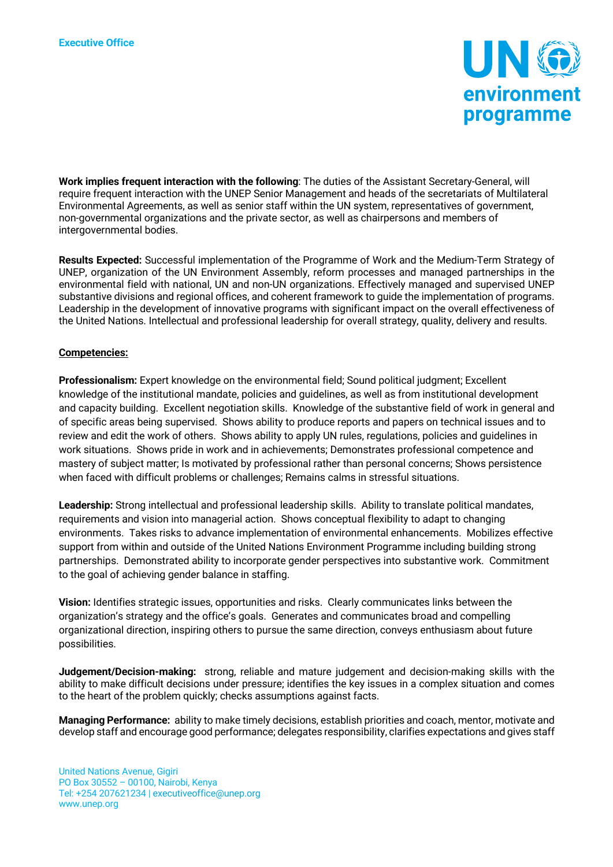

**Work implies frequent interaction with the following**: The duties of the Assistant Secretary-General, will require frequent interaction with the UNEP Senior Management and heads of the secretariats of Multilateral Environmental Agreements, as well as senior staff within the UN system, representatives of government, non-governmental organizations and the private sector, as well as chairpersons and members of intergovernmental bodies.

**Results Expected:** Successful implementation of the Programme of Work and the Medium-Term Strategy of UNEP, organization of the UN Environment Assembly, reform processes and managed partnerships in the environmental field with national, UN and non-UN organizations. Effectively managed and supervised UNEP substantive divisions and regional offices, and coherent framework to guide the implementation of programs. Leadership in the development of innovative programs with significant impact on the overall effectiveness of the United Nations. Intellectual and professional leadership for overall strategy, quality, delivery and results.

# **Competencies:**

**Professionalism:** Expert knowledge on the environmental field; Sound political judgment; Excellent knowledge of the institutional mandate, policies and guidelines, as well as from institutional development and capacity building. Excellent negotiation skills. Knowledge of the substantive field of work in general and of specific areas being supervised. Shows ability to produce reports and papers on technical issues and to review and edit the work of others. Shows ability to apply UN rules, regulations, policies and guidelines in work situations. Shows pride in work and in achievements; Demonstrates professional competence and mastery of subject matter; Is motivated by professional rather than personal concerns; Shows persistence when faced with difficult problems or challenges; Remains calms in stressful situations.

**Leadership:** Strong intellectual and professional leadership skills. Ability to translate political mandates, requirements and vision into managerial action. Shows conceptual flexibility to adapt to changing environments. Takes risks to advance implementation of environmental enhancements. Mobilizes effective support from within and outside of the United Nations Environment Programme including building strong partnerships. Demonstrated ability to incorporate gender perspectives into substantive work. Commitment to the goal of achieving gender balance in staffing.

**Vision:** Identifies strategic issues, opportunities and risks. Clearly communicates links between the organization's strategy and the office's goals. Generates and communicates broad and compelling organizational direction, inspiring others to pursue the same direction, conveys enthusiasm about future possibilities.

**Judgement/Decision-making:** strong, reliable and mature judgement and decision-making skills with the ability to make difficult decisions under pressure; identifies the key issues in a complex situation and comes to the heart of the problem quickly; checks assumptions against facts.

**Managing Performance:** ability to make timely decisions, establish priorities and coach, mentor, motivate and develop staff and encourage good performance; delegates responsibility, clarifies expectations and gives staff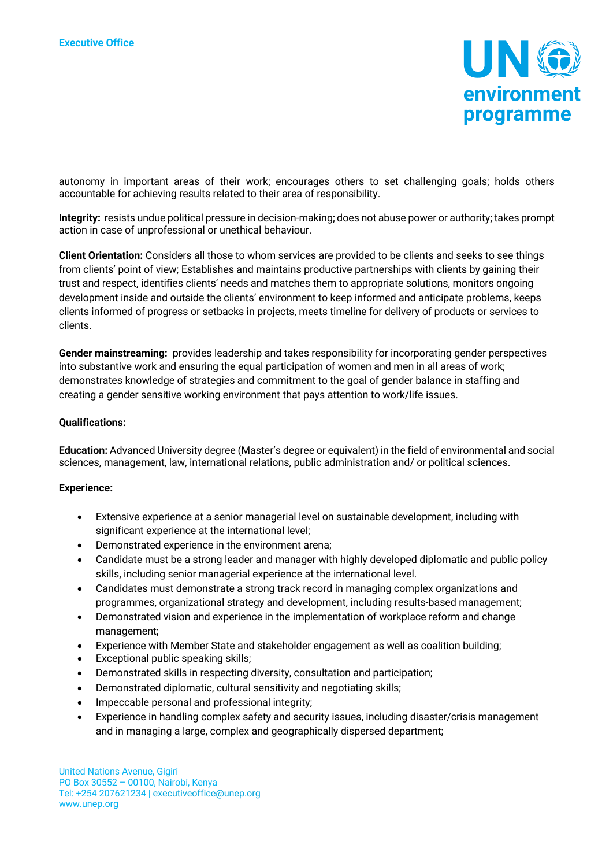

autonomy in important areas of their work; encourages others to set challenging goals; holds others accountable for achieving results related to their area of responsibility.

**Integrity:** resists undue political pressure in decision-making; does not abuse power or authority; takes prompt action in case of unprofessional or unethical behaviour.

**Client Orientation:** Considers all those to whom services are provided to be clients and seeks to see things from clients' point of view; Establishes and maintains productive partnerships with clients by gaining their trust and respect, identifies clients' needs and matches them to appropriate solutions, monitors ongoing development inside and outside the clients' environment to keep informed and anticipate problems, keeps clients informed of progress or setbacks in projects, meets timeline for delivery of products or services to clients.

**Gender mainstreaming:** provides leadership and takes responsibility for incorporating gender perspectives into substantive work and ensuring the equal participation of women and men in all areas of work; demonstrates knowledge of strategies and commitment to the goal of gender balance in staffing and creating a gender sensitive working environment that pays attention to work/life issues.

# **Qualifications:**

**Education:** Advanced University degree (Master's degree or equivalent) in the field of environmental and social sciences, management, law, international relations, public administration and/ or political sciences.

### **Experience:**

- Extensive experience at a senior managerial level on sustainable development, including with significant experience at the international level;
- Demonstrated experience in the environment arena;
- Candidate must be a strong leader and manager with highly developed diplomatic and public policy skills, including senior managerial experience at the international level.
- Candidates must demonstrate a strong track record in managing complex organizations and programmes, organizational strategy and development, including results-based management;
- Demonstrated vision and experience in the implementation of workplace reform and change management;
- Experience with Member State and stakeholder engagement as well as coalition building;
- Exceptional public speaking skills;
- Demonstrated skills in respecting diversity, consultation and participation;
- Demonstrated diplomatic, cultural sensitivity and negotiating skills;
- Impeccable personal and professional integrity;
- Experience in handling complex safety and security issues, including disaster/crisis management and in managing a large, complex and geographically dispersed department;

United Nations Avenue, Gigiri PO Box 30552 – 00100, Nairobi, Kenya Tel: +254 207621234 | executiveoffice@unep.org www.unep.org